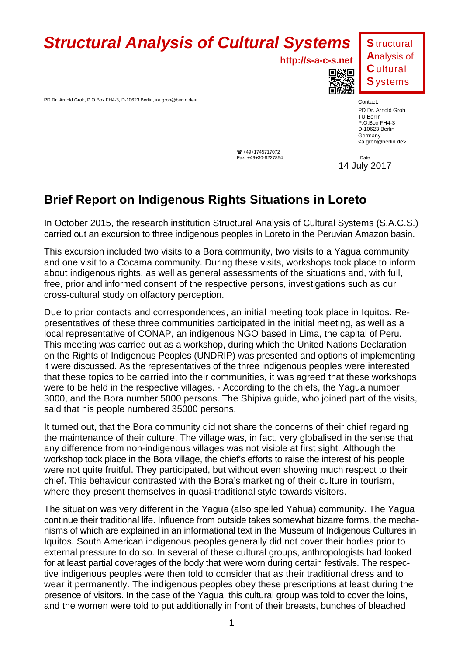## **Structural Analysis of Cultural Systems**

**http://s-a-c-s.net**

PD Dr. Arnold Groh, P.O.Box FH4-3, D-10623 Berlin, <a.groh@berlin.de>



Contact: PD Dr. Arnold Groh TU Berlin P.O.Box FH4-3 D-10623 Berlin Germany <a.groh@berlin.de>

 $\bullet$  +49+1745717072 Fax: +49+30-8227854 Date

14 July 2017

## **Brief Report on Indigenous Rights Situations in Loreto**

In October 2015, the research institution Structural Analysis of Cultural Systems (S.A.C.S.) carried out an excursion to three indigenous peoples in Loreto in the Peruvian Amazon basin.

This excursion included two visits to a Bora community, two visits to a Yagua community and one visit to a Cocama community. During these visits, workshops took place to inform about indigenous rights, as well as general assessments of the situations and, with full, free, prior and informed consent of the respective persons, investigations such as our cross-cultural study on olfactory perception.

Due to prior contacts and correspondences, an initial meeting took place in Iquitos. Representatives of these three communities participated in the initial meeting, as well as a local representative of CONAP, an indigenous NGO based in Lima, the capital of Peru. This meeting was carried out as a workshop, during which the United Nations Declaration on the Rights of Indigenous Peoples (UNDRIP) was presented and options of implementing it were discussed. As the representatives of the three indigenous peoples were interested that these topics to be carried into their communities, it was agreed that these workshops were to be held in the respective villages. - According to the chiefs, the Yagua number 3000, and the Bora number 5000 persons. The Shipiva guide, who joined part of the visits, said that his people numbered 35000 persons.

It turned out, that the Bora community did not share the concerns of their chief regarding the maintenance of their culture. The village was, in fact, very globalised in the sense that any difference from non-indigenous villages was not visible at first sight. Although the workshop took place in the Bora village, the chief's efforts to raise the interest of his people were not quite fruitful. They participated, but without even showing much respect to their chief. This behaviour contrasted with the Bora's marketing of their culture in tourism, where they present themselves in quasi-traditional style towards visitors.

The situation was very different in the Yagua (also spelled Yahua) community. The Yagua continue their traditional life. Influence from outside takes somewhat bizarre forms, the mechanisms of which are explained in an informational text in the Museum of Indigenous Cultures in Iquitos. South American indigenous peoples generally did not cover their bodies prior to external pressure to do so. In several of these cultural groups, anthropologists had looked for at least partial coverages of the body that were worn during certain festivals. The respective indigenous peoples were then told to consider that as their traditional dress and to wear it permanently. The indigenous peoples obey these prescriptions at least during the presence of visitors. In the case of the Yagua, this cultural group was told to cover the loins, and the women were told to put additionally in front of their breasts, bunches of bleached